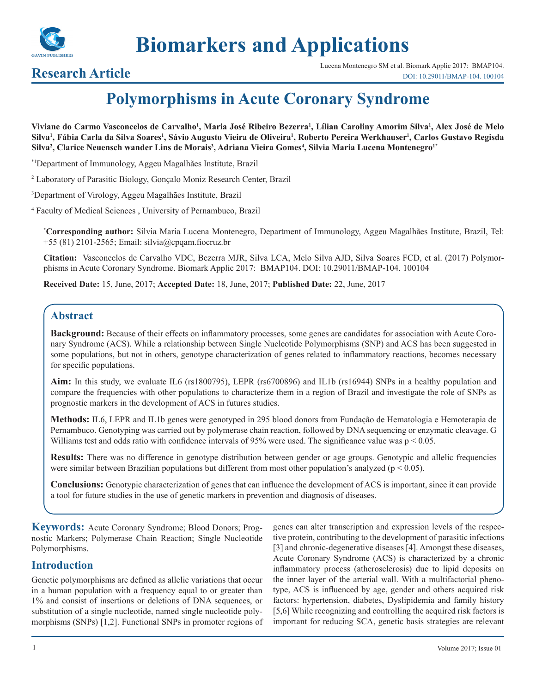

# **Biomarkers and Applications**

**Research Article** Lucena Montenegro SM et al. Biomark Applic 2017: BMAP104.<br>DOI: 10.29011/BMAP-104. 100104 [DOI: 10.29011/BMAP-104. 100104](http://doi.org/10.29011/BMAP-104. 100104)

# **Polymorphisms in Acute Coronary Syndrome**

Viviane do Carmo Vasconcelos de Carvalho<sup>1</sup>, Maria José Ribeiro Bezerra<sup>1</sup>, Lílian Caroliny Amorim Silva<sup>1</sup>, Alex José de Melo Silva<sup>1</sup>, Fábia Carla da Silva Soares<sup>1</sup>, Sávio Augusto Vieira de Oliveira<sup>1</sup>, Roberto Pereira Werkhauser<sup>1</sup>, Carlos Gustavo Regisda **Silva2 , Clarice Neuensch wander Lins de Morais3 , Adriana Vieira Gomes4 , Silvia Maria Lucena Montenegro1\***

\*1Department of Immunology, Aggeu Magalhães Institute, Brazil

2 Laboratory of Parasitic Biology, Gonçalo Moniz Research Center, Brazil

3 Department of Virology, Aggeu Magalhães Institute, Brazil

4 Faculty of Medical Sciences , University of Pernambuco, Brazil

**\* Corresponding author:** Silvia Maria Lucena Montenegro, Department of Immunology, Aggeu Magalhães Institute, Brazil, Tel: +55 (81) 2101-2565; Email: silvia@cpqam.fiocruz.br

**Citation:** Vasconcelos de Carvalho VDC, Bezerra MJR, Silva LCA, Melo Silva AJD, Silva Soares FCD, et al. (2017) Polymorphisms in Acute Coronary Syndrome. Biomark Applic 2017: BMAP104. DOI: 10.29011/BMAP-104. 100104

**Received Date:** 15, June, 2017; **Accepted Date:** 18, June, 2017; **Published Date:** 22, June, 2017

# **Abstract**

**Background:** Because of their effects on inflammatory processes, some genes are candidates for association with Acute Coronary Syndrome (ACS). While a relationship between Single Nucleotide Polymorphisms (SNP) and ACS has been suggested in some populations, but not in others, genotype characterization of genes related to inflammatory reactions, becomes necessary for specific populations.

**Aim:** In this study, we evaluate IL6 (rs1800795), LEPR (rs6700896) and IL1b (rs16944) SNPs in a healthy population and compare the frequencies with other populations to characterize them in a region of Brazil and investigate the role of SNPs as prognostic markers in the development of ACS in futures studies.

**Methods:** IL6, LEPR and IL1b genes were genotyped in 295 blood donors from Fundação de Hematologia e Hemoterapia de Pernambuco. Genotyping was carried out by polymerase chain reaction, followed by DNA sequencing or enzymatic cleavage. G Williams test and odds ratio with confidence intervals of 95% were used. The significance value was  $p < 0.05$ .

**Results:** There was no difference in genotype distribution between gender or age groups. Genotypic and allelic frequencies were similar between Brazilian populations but different from most other population's analyzed ( $p < 0.05$ ).

**Conclusions:** Genotypic characterization of genes that can influence the development of ACS is important, since it can provide a tool for future studies in the use of genetic markers in prevention and diagnosis of diseases.

**Keywords:** Acute Coronary Syndrome; Blood Donors; Prognostic Markers; Polymerase Chain Reaction; Single Nucleotide Polymorphisms.

### **Introduction**

Genetic polymorphisms are defined as allelic variations that occur in a human population with a frequency equal to or greater than 1% and consist of insertions or deletions of DNA sequences, or substitution of a single nucleotide, named single nucleotide polymorphisms (SNPs) [1,2]. Functional SNPs in promoter regions of genes can alter transcription and expression levels of the respective protein, contributing to the development of parasitic infections [3] and chronic-degenerative diseases [4]. Amongst these diseases, Acute Coronary Syndrome (ACS) is characterized by a chronic inflammatory process (atherosclerosis) due to lipid deposits on the inner layer of the arterial wall. With a multifactorial phenotype, ACS is influenced by age, gender and others acquired risk factors: hypertension, diabetes, Dyslipidemia and family history [5,6] While recognizing and controlling the acquired risk factors is important for reducing SCA, genetic basis strategies are relevant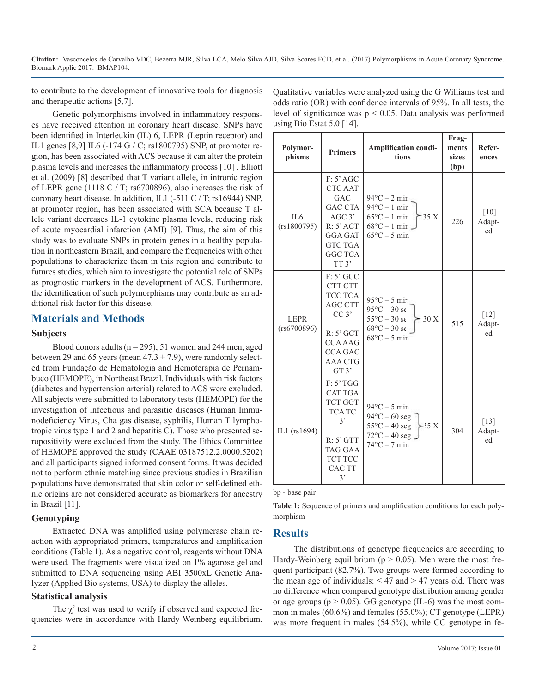using Bio Estat 5.0 [14].

to contribute to the development of innovative tools for diagnosis and therapeutic actions [5,7].

Genetic polymorphisms involved in inflammatory responses have received attention in coronary heart disease. SNPs have been identified in Interleukin (IL) 6, LEPR (Leptin receptor) and IL1 genes [8,9] IL6 (-174 G / C; rs1800795) SNP, at promoter region, has been associated with ACS because it can alter the protein plasma levels and increases the inflammatory process [10] . Elliott et al. (2009) [8] described that T variant allele, in intronic region of LEPR gene (1118 C / T; rs6700896), also increases the risk of coronary heart disease. In addition, IL1 (-511 C / T; rs16944) SNP, at promoter region, has been associated with SCA because T allele variant decreases IL-1 cytokine plasma levels, reducing risk of acute myocardial infarction (AMI) [9]. Thus, the aim of this study was to evaluate SNPs in protein genes in a healthy population in northeastern Brazil, and compare the frequencies with other populations to characterize them in this region and contribute to futures studies, which aim to investigate the potential role of SNPs as prognostic markers in the development of ACS. Furthermore, the identification of such polymorphisms may contribute as an additional risk factor for this disease.

## **Materials and Methods**

#### **Subjects**

Blood donors adults ( $n = 295$ ), 51 women and 244 men, aged between 29 and 65 years (mean  $47.3 \pm 7.9$ ), were randomly selected from Fundação de Hematologia and Hemoterapia de Pernambuco (HEMOPE), in Northeast Brazil. Individuals with risk factors (diabetes and hypertension arterial) related to ACS were excluded. All subjects were submitted to laboratory tests (HEMOPE) for the investigation of infectious and parasitic diseases (Human Immunodeficiency Virus, Cha gas disease, syphilis, Human T lymphotropic virus type 1 and 2 and hepatitis C). Those who presented seropositivity were excluded from the study. The Ethics Committee of HEMOPE approved the study (CAAE 03187512.2.0000.5202) and all participants signed informed consent forms. It was decided not to perform ethnic matching since previous studies in Brazilian populations have demonstrated that skin color or self-defined ethnic origins are not considered accurate as biomarkers for ancestry in Brazil [11].

#### **Genotyping**

Extracted DNA was amplified using polymerase chain reaction with appropriated primers, temperatures and amplification conditions (Table 1). As a negative control, reagents without DNA were used. The fragments were visualized on 1% agarose gel and submitted to DNA sequencing using ABI 3500xL Genetic Analyzer (Applied Bio systems, USA) to display the alleles.

#### **Statistical analysis**

The  $\chi^2$  test was used to verify if observed and expected frequencies were in accordance with Hardy-Weinberg equilibrium.

| Polymor-<br>phisms             | <b>Primers</b>                                                                                                                                           | Amplification condi-<br>tions                                                                                                               | Frag-<br>ments<br><b>sizes</b><br>(bp) | Refer-<br>ences        |
|--------------------------------|----------------------------------------------------------------------------------------------------------------------------------------------------------|---------------------------------------------------------------------------------------------------------------------------------------------|----------------------------------------|------------------------|
| IL <sub>6</sub><br>(rs1800795) | F: 5' AGC<br><b>CTC AAT</b><br>GAC<br><b>GAC CTA</b><br>AGC 3'<br>$R: 5'$ ACT<br><b>GGA GAT</b><br><b>GTC TGA</b><br><b>GGC TCA</b><br>TT <sub>3</sub> ' | $94^{\circ}$ C – 2 mir<br>$94^{\circ}C - 1$ mir<br>$65^{\circ}$ C - 1 mir<br>$-35X$<br>$68^{\circ}C - 1$ mir<br>$65^{\circ}$ C – 5 min      | 226                                    | $[10]$<br>Adapt-<br>ed |
| <b>LEPR</b><br>(rs6700896)     | $F: 5'$ GCC<br>CTT CTT<br><b>TCC TCA</b><br><b>AGC CTT</b><br>CC 3'<br>$R: 5'$ GCT<br><b>CCA AAG</b><br><b>CCA GAC</b><br><b>AAA CTG</b><br>GT3'         | $95^{\circ}$ C – 5 mir<br>$95^{\circ}$ C – 30 se<br>$55^{\circ}$ C – 30 se<br>30 X<br>$68^{\circ}$ C – 30 se<br>$68^{\circ}$ C - 5 min      | 515                                    | $[12]$<br>Adapt-<br>ed |
| IL1 (rs1694)                   | F: 5' TGG<br><b>CAT TGA</b><br><b>TCT GGT</b><br><b>TCA TC</b><br>3<br>$R: 5'$ GTT<br><b>TAG GAA</b><br><b>TCT TCC</b><br><b>CAC TT</b><br>3'            | $94^{\circ}$ C – 5 min<br>$94^{\circ}$ C – 60 seg<br>$55^{\circ}$ C - 40 seg<br>$-35X$<br>$72^{\circ}$ C – 40 seg<br>$74^{\circ}$ C - 7 min | 304                                    | $[13]$<br>Adapt-<br>ed |

Qualitative variables were analyzed using the G Williams test and odds ratio (OR) with confidence intervals of 95%. In all tests, the level of significance was  $p < 0.05$ . Data analysis was performed

bp - base pair

**Table 1:** Sequence of primers and amplification conditions for each polymorphism

### **Results**

The distributions of genotype frequencies are according to Hardy-Weinberg equilibrium ( $p > 0.05$ ). Men were the most frequent participant (82.7%). Two groups were formed according to the mean age of individuals:  $\leq 47$  and  $> 47$  years old. There was no difference when compared genotype distribution among gender or age groups ( $p > 0.05$ ). GG genotype (IL-6) was the most common in males (60.6%) and females (55.0%); CT genotype (LEPR) was more frequent in males (54.5%), while CC genotype in fe-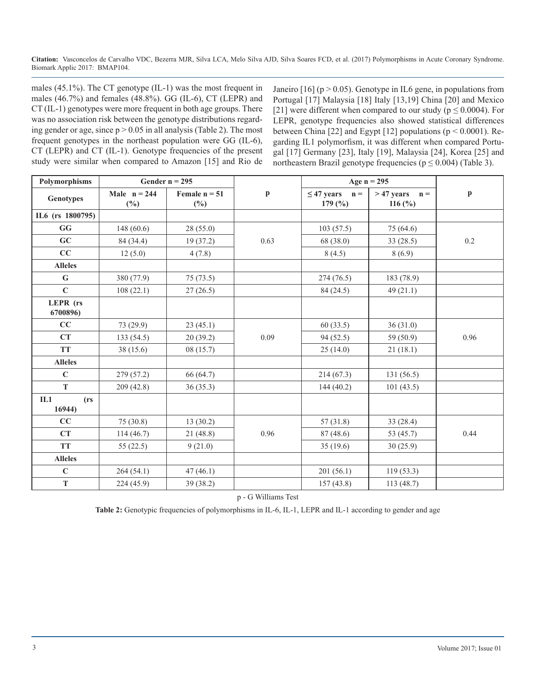males (45.1%). The CT genotype (IL-1) was the most frequent in males (46.7%) and females (48.8%). GG (IL-6), CT (LEPR) and CT (IL-1) genotypes were more frequent in both age groups. There was no association risk between the genotype distributions regarding gender or age, since  $p > 0.05$  in all analysis (Table 2). The most frequent genotypes in the northeast population were GG (IL-6), CT (LEPR) and CT (IL-1). Genotype frequencies of the present study were similar when compared to Amazon [15] and Rio de

Janeiro  $[16]$  (p  $> 0.05$ ). Genotype in IL6 gene, in populations from Portugal [17] Malaysia [18] Italy [13,19] China [20] and Mexico [21] were different when compared to our study ( $p \le 0.0004$ ). For LEPR, genotype frequencies also showed statistical differences between China [22] and Egypt [12] populations ( $p \le 0.0001$ ). Regarding IL1 polymorfism, it was different when compared Portugal [17] Germany [23], Italy [19], Malaysia [24], Korea [25] and northeastern Brazil genotype frequencies ( $p \le 0.004$ ) (Table 3).

| Polymorphisms                      | Gender $n = 295$         |                           |      |                                                          | Age $n = 295$                              |              |  |
|------------------------------------|--------------------------|---------------------------|------|----------------------------------------------------------|--------------------------------------------|--------------|--|
| <b>Genotypes</b>                   | Male $n = 244$<br>$(\%)$ | Female $n = 51$<br>$(\%)$ | p    | $\leq$ 47 years<br>$\mathbf{n} =$<br>179 $(\frac{9}{0})$ | $>47$ years<br>$\mathbf{n} =$<br>116 $(*)$ | $\mathbf{p}$ |  |
| IL6 (rs 1800795)                   |                          |                           |      |                                                          |                                            |              |  |
| GG                                 | 148(60.6)                | 28(55.0)                  |      | 103(57.5)                                                | 75 (64.6)                                  |              |  |
| GC                                 | 84 (34.4)                | 19 (37.2)                 | 0.63 | 68 (38.0)                                                | 33(28.5)                                   | 0.2          |  |
| CC                                 | 12(5.0)                  | 4(7.8)                    |      | 8(4.5)                                                   | 8(6.9)                                     |              |  |
| <b>Alleles</b>                     |                          |                           |      |                                                          |                                            |              |  |
| ${\bf G}$                          | 380 (77.9)               | 75(73.5)                  |      | 274(76.5)                                                | 183 (78.9)                                 |              |  |
| $\mathbf C$                        | 108(22.1)                | 27(26.5)                  |      | 84 (24.5)                                                | 49(21.1)                                   |              |  |
| LEPR (rs<br>6700896)               |                          |                           |      |                                                          |                                            |              |  |
| CC                                 | 73 (29.9)                | 23(45.1)                  |      | 60(33.5)                                                 | 36(31.0)                                   |              |  |
| CT                                 | 133(54.5)                | 20(39.2)                  | 0.09 | 94(52.5)                                                 | 59 (50.9)                                  | 0.96         |  |
| <b>TT</b>                          | 38(15.6)                 | 08(15.7)                  |      | 25(14.0)                                                 | 21(18.1)                                   |              |  |
| <b>Alleles</b>                     |                          |                           |      |                                                          |                                            |              |  |
| $\mathbf C$                        | 279 (57.2)               | 66 (64.7)                 |      | 214(67.3)                                                | 131(56.5)                                  |              |  |
| T                                  | 209 (42.8)               | 36(35.3)                  |      | 144 (40.2)                                               | 101(43.5)                                  |              |  |
| IL1<br>(r <sub>s</sub> )<br>16944) |                          |                           |      |                                                          |                                            |              |  |
| CC                                 | 75(30.8)                 | 13(30.2)                  |      | 57(31.8)                                                 | 33(28.4)                                   |              |  |
| CT                                 | 114(46.7)                | 21 (48.8)                 | 0.96 | 87 (48.6)                                                | 53 (45.7)                                  | 0.44         |  |
| <b>TT</b>                          | 55(22.5)                 | 9(21.0)                   |      | 35(19.6)                                                 | 30(25.9)                                   |              |  |
| <b>Alleles</b>                     |                          |                           |      |                                                          |                                            |              |  |
| $\mathbf C$                        | 264(54.1)                | 47(46.1)                  |      | 201(56.1)                                                | 119(53.3)                                  |              |  |
| $\mathbf T$                        | 224 (45.9)               | 39 (38.2)                 |      | 157(43.8)                                                | 113 (48.7)                                 |              |  |

p - G Williams Test

Table 2: Genotypic frequencies of polymorphisms in IL-6, IL-1, LEPR and IL-1 according to gender and age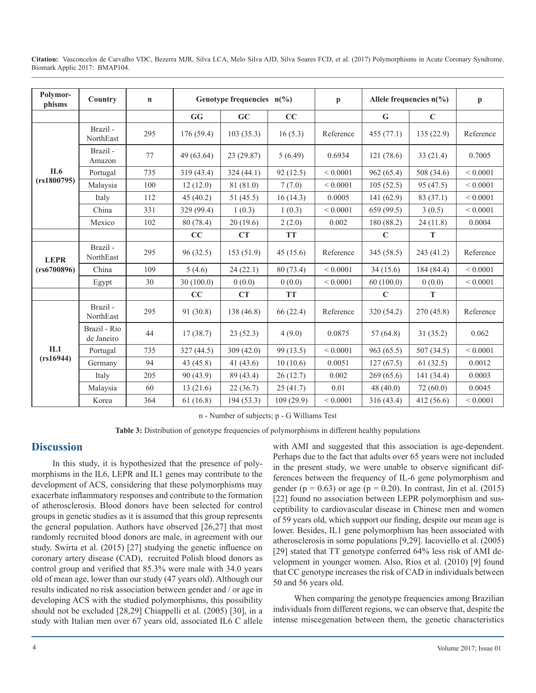| Citation: Vasconcelos de Carvalho VDC, Bezerra MJR, Silva LCA, Melo Silva AJD, Silva Soares FCD, et al. (2017) Polymorphisms in Acute Coronary Syndrome. |  |  |  |  |
|----------------------------------------------------------------------------------------------------------------------------------------------------------|--|--|--|--|
| Biomark Applic 2017: BMAP104.                                                                                                                            |  |  |  |  |

| Polymor-<br>phisms | Country                    | $\mathbf n$ | Genotype frequencies $n(\%)$ |             |            | $\mathbf{p}$ | Allele frequencies $n(\%)$ |             | $\mathbf{p}$ |
|--------------------|----------------------------|-------------|------------------------------|-------------|------------|--------------|----------------------------|-------------|--------------|
|                    |                            |             | GG                           | GC          | CC         |              | G                          | $\mathbf C$ |              |
|                    | Brazil -<br>NorthEast      | 295         | 176 (59.4)                   | 103(35.3)   | 16(5.3)    | Reference    | 455(77.1)                  | 135(22.9)   | Reference    |
|                    | Brazil -<br>Amazon         | 77          | 49 (63.64)                   | 23 (29.87)  | 5(6.49)    | 0.6934       | 121(78.6)                  | 33(21.4)    | 0.7005       |
| IL6                | Portugal                   | 735         | 319 (43.4)                   | 324(44.1)   | 92(12.5)   | ${}< 0.0001$ | 962(65.4)                  | 508 (34.6)  | ${}< 0.0001$ |
| (rs1800795)        | Malaysia                   | 100         | 12(12.0)                     | 81 (81.0)   | 7(7.0)     | ${}< 0.0001$ | 105(52.5)                  | 95 (47.5)   | ${}< 0.0001$ |
|                    | Italy                      | 112         | 45(40.2)                     | 51 (45.5)   | 16(14.3)   | 0.0005       | 141 (62.9)                 | 83 (37.1)   | ${}< 0.0001$ |
|                    | China                      | 331         | 329 (99.4)                   | 1(0.3)      | 1(0.3)     | ${}< 0.0001$ | 659 (99.5)                 | 3(0.5)      | ${}< 0.0001$ |
|                    | Mexico                     | 102         | 80 (78.4)                    | 20(19.6)    | 2(2.0)     | 0.002        | 180 (88.2)                 | 24(11.8)    | 0.0004       |
|                    |                            |             | CC                           | <b>CT</b>   | <b>TT</b>  |              | $\mathbf C$                | $\mathbf T$ |              |
| <b>LEPR</b>        | Brazil-<br>NorthEast       | 295         | 96(32.5)                     | 153(51.9)   | 45(15.6)   | Reference    | 345(58.5)                  | 243 (41.2)  | Reference    |
| (rs6700896)        | China                      | 109         | 5(4.6)                       | 24(22.1)    | 80 (73.4)  | ${}< 0.0001$ | 34(15.6)                   | 184 (84.4)  | ${}< 0.0001$ |
|                    | Egypt                      | 30          | 30(100.0)                    | 0(0.0)      | 0(0.0)     | ${}< 0.0001$ | 60(100.0)                  | 0(0.0)      | ${}< 0.0001$ |
|                    |                            |             | CC                           | CT          | <b>TT</b>  |              | $\mathbf C$                | T           |              |
|                    | Brazil-<br>NorthEast       | 295         | 91 (30.8)                    | 138 (46.8)  | 66(22.4)   | Reference    | 320 (54.2)                 | 270(45.8)   | Reference    |
| IL1<br>(rs16944)   | Brazil - Rio<br>de Janeiro | 44          | 17(38.7)                     | 23(52.3)    | 4(9.0)     | 0.0875       | 57(64.8)                   | 31(35.2)    | 0.062        |
|                    | Portugal                   | 735         | 327 (44.5)                   | 309 (42.0)  | 99 (13.5)  | ${}< 0.0001$ | 963 (65.5)                 | 507 (34.5)  | ${}< 0.0001$ |
|                    | Germany                    | 94          | 43 (45.8)                    | 41 $(43.6)$ | 10(10.6)   | 0.0051       | 127(67.5)                  | 61(32.5)    | 0.0012       |
|                    | Italy                      | 205         | 90 (43.9)                    | 89 (43.4)   | 26(12.7)   | 0.002        | 269(65.6)                  | 141 (34.4)  | 0.0003       |
|                    | Malaysia                   | 60          | 13(21.6)                     | 22(36.7)    | 25(41.7)   | 0.01         | 48 $(40.0)$                | 72(60.0)    | 0.0045       |
|                    | Korea                      | 364         | 61(16.8)                     | 194(53.3)   | 109 (29.9) | ${}< 0.0001$ | 316(43.4)                  | 412 (56.6)  | ${}< 0.0001$ |

n - Number of subjects; p - G Williams Test

**Table 3:** Distribution of genotype frequencies of polymorphisms in different healthy populations

# **Discussion**

In this study, it is hypothesized that the presence of polymorphisms in the IL6, LEPR and IL1 genes may contribute to the development of ACS, considering that these polymorphisms may exacerbate inflammatory responses and contribute to the formation of atherosclerosis. Blood donors have been selected for control groups in genetic studies as it is assumed that this group represents the general population. Authors have observed [26,27] that most randomly recruited blood donors are male, in agreement with our study. Swirta et al. (2015) [27] studying the genetic influence on coronary artery disease (CAD), recruited Polish blood donors as control group and verified that 85.3% were male with 34.0 years old of mean age, lower than our study (47 years old). Although our results indicated no risk association between gender and / or age in developing ACS with the studied polymorphisms, this possibility should not be excluded [28,29] Chiappelli et al. (2005) [30], in a study with Italian men over 67 years old, associated IL6 C allele with AMI and suggested that this association is age-dependent. Perhaps due to the fact that adults over 65 years were not included in the present study, we were unable to observe significant differences between the frequency of IL-6 gene polymorphism and gender ( $p = 0.63$ ) or age ( $p = 0.20$ ). In contrast, Jin et al. (2015) [22] found no association between LEPR polymorphism and susceptibility to cardiovascular disease in Chinese men and women of 59 years old, which support our finding, despite our mean age is lower. Besides, IL1 gene polymorphism has been associated with atherosclerosis in some populations [9,29]. Iacoviello et al. (2005) [29] stated that TT genotype conferred 64% less risk of AMI development in younger women. Also, Rios et al. (2010) [9] found that CC genotype increases the risk of CAD in individuals between 50 and 56 years old.

When comparing the genotype frequencies among Brazilian individuals from different regions, we can observe that, despite the intense miscegenation between them, the genetic characteristics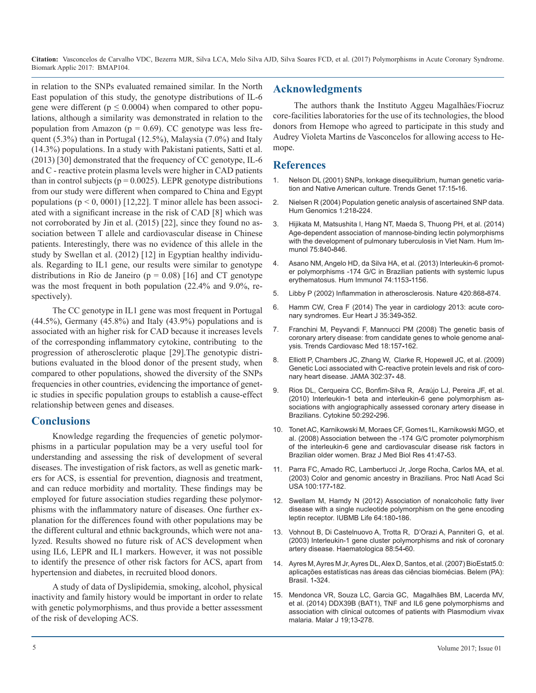in relation to the SNPs evaluated remained similar. In the North East population of this study, the genotype distributions of IL-6 gene were different ( $p \le 0.0004$ ) when compared to other populations, although a similarity was demonstrated in relation to the population from Amazon ( $p = 0.69$ ). CC genotype was less frequent (5.3%) than in Portugal (12.5%), Malaysia (7.0%) and Italy (14.3%) populations. In a study with Pakistani patients, Satti et al. (2013) [30] demonstrated that the frequency of CC genotype, IL-6 and C - reactive protein plasma levels were higher in CAD patients than in control subjects ( $p = 0.0025$ ). LEPR genotype distributions from our study were different when compared to China and Egypt populations ( $p < 0$ , 0001) [12,22]. T minor allele has been associ[ated with a significant increase in the risk of CAD \[8\] which was](https://www.ncbi.nlm.nih.gov/pubmed/15588481)  not corroborated by Jin et al. (2015) [22], since they found no as[sociation between T allele and cardiovascular disease in Chinese](https://www.ncbi.nlm.nih.gov/labs/articles/24952212/)  patients. Interestingly, there was no evidence of this allele in the study by Swellan et al. (2012) [12] in Egyptian healthy individuals. Regarding to IL1 gene, our results were similar to genotype distributions in Rio de Janeiro ( $p = 0.08$ ) [16] and CT genotype was the most frequent in both population (22.4% and 9.0%, respectively).

[The CC genotype in IL1 gene was most frequent in Portugal](https://oup.silverchair-cdn.com/oup/backfile/Content_public/Journal/eurheartj/35/6/10.1093/eurheartj/eht548/2/eht548.pdf?Expires=1498116146&Signature=MowGg27Jug~QRK4L-hJ6rPeaJGjZW1sKHCyBvCySa2QE4~V8XPQN0Jm1RObgiGmB4mARN1zjhE5JO~CXN1TOO3QXVOmo7BN5prLVJIQLCv)   $(44.5\%)$ , Germany  $(45.8\%)$  and Italy  $(43.9\%)$  populations and is associated with an higher risk for CAD because it increases levels of the corresponding inflammatory cytokine, contributing to the progression of atherosclerotic plaque [29].The genotypic distributions evaluated in the blood donor of the present study, when compared to other populations, showed the diversity of the SNPs frequencies in other countries, evidencing the importance of genetic studies in specific population groups to establish a cause-effect relationship between genes and diseases.

### **Conclusions**

Knowledge regarding the frequencies of genetic polymorphisms in a particular population may be a very useful tool for understanding and assessing the risk of development of several diseases. The investigation of risk factors, as well as genetic mark[ers for ACS, is essential for prevention, diagnosis and treatment,](https://www.ncbi.nlm.nih.gov/pmc/articles/PMC140919/)  and can reduce morbidity and mortality. These findings may be employed for future association studies regarding these polymor[phisms with the inflammatory nature of diseases. One further ex](https://www.ncbi.nlm.nih.gov/pubmed/22215535)planation for the differences found with other populations may be the different cultural and ethnic backgrounds, which were not ana[lyzed. Results showed no future risk of ACS development when](https://www.ncbi.nlm.nih.gov/pubmed/12551827)  using IL6, LEPR and IL1 markers. However, it was not possible to identify the presence of other risk factors for ACS, apart from hypertension and diabetes, in recruited blood donors.

A study of data of Dyslipidemia, smoking, alcohol, physical inactivity and family history would be important in order to relate with genetic polymorphisms, and thus provide a better assessment of the risk of developing ACS.

# **Acknowledgments**

The authors thank the Instituto Aggeu Magalhães/Fiocruz core-facilities laboratories for the use of its technologies, the blood donors from Hemope who agreed to participate in this study and Audrey Violeta Martins de Vasconcelos for allowing access to Hemope.

## **References**

- 1. Nelson DL (2001) SNPs, lonkage disequilibrium, human genetic variation and Native American culture. Trends Genet 17:15**-**16.
- 2. [Nielsen R \(2004\) Population genetic analysis of ascertained SNP data.](https://www.ncbi.nlm.nih.gov/pubmed/15588481)  Hum Genomics 1:218**-**224.
- 3. [Hijikata M, Matsushita I, Hang NT, Maeda](https://www.ncbi.nlm.nih.gov/labs/articles/24952212/) S, Thuong PH, et al. (2014) Age-dependent association of mannose-binding lectin polymorphisms [with the development of pulmonary tuberculosis in Viet Nam. Hum Im](https://www.ncbi.nlm.nih.gov/labs/articles/24952212/)[munol 75:840](https://www.ncbi.nlm.nih.gov/labs/articles/24952212/)**-**846.
- 4. Asano NM, Angelo HD, da Silva HA, et al. (2013) Interleukin-6 promoter polymorphisms -174 G/C in Brazilian patients with systemic lupus erythematosus. Hum Immunol 74:1153**-**1156.
- 5. [Libby P \(2002\) Inflammation in atherosclerosis. Nature 420:868](https://www.ncbi.nlm.nih.gov/pubmed/12490960)**-**874.
- 6. [Hamm CW, Crea F \(2014\) The year in cardiology 2013: acute coro](https://oup.silverchair-cdn.com/oup/backfile/Content_public/Journal/eurheartj/35/6/10.1093/eurheartj/eht548/2/eht548.pdf?Expires=1498116146&Signature=MowGg27Jug~QRK4L-hJ6rPeaJGjZW1sKHCyBvCySa2QE4~V8XPQN0Jm1RObgiGmB4mARN1zjhE5JO~CXN1TOO3QXVOmo7BN5prLVJIQLCv)nary syndromes. Eur Heart J 35:349**-**352.
- 7. [Franchini M, Peyvandi F, Mannucci PM \(2008\) The genetic basis of](https://www.ncbi.nlm.nih.gov/pubmed/18790385)  [coronary artery disease: from candidate genes to whole genome anal](https://www.ncbi.nlm.nih.gov/pubmed/18790385)[ysis. Trends Cardiovasc Med 18:157](https://www.ncbi.nlm.nih.gov/pubmed/18790385)**-**162.
- 8. [Elliott P, Chambers JC, Zhang W, Clarke R,](https://www.ncbi.nlm.nih.gov/pubmed/19567438) Hopewell JC, et al. (2009) [Genetic Loci associated with C-reactive protein levels and risk of coro](https://www.ncbi.nlm.nih.gov/pubmed/19567438)[nary heart disease. JAMA 302:37](https://www.ncbi.nlm.nih.gov/pubmed/19567438)**-** 48.
- 9. [Rios DL, Cerqueira CC, Bonfim-Silva R, Araújo LJ,](https://www.ncbi.nlm.nih.gov/pubmed/20206549) Pereira JF, et al. [\(2010\) Interleukin-1 beta and interleukin-6 gene polymorphism as](https://www.ncbi.nlm.nih.gov/pubmed/20206549)[sociations with angiographically assessed coronary artery disease in](https://www.ncbi.nlm.nih.gov/pubmed/20206549) [Brazilians. Cytokine 50:292](https://www.ncbi.nlm.nih.gov/pubmed/20206549)**-**296.
- 10. [Tonet AC, Karnikowski M, Moraes CF, Gomes1L, Karnikowski MGO, et](http://www.scielo.br/pdf/bjmbr/v41n1/6885.pdf) [al. \(2008\) Association between the -174 G/C promoter polymorphism](http://www.scielo.br/pdf/bjmbr/v41n1/6885.pdf)  [of the interleukin-6 gene and cardiovascular disease risk factors in](http://www.scielo.br/pdf/bjmbr/v41n1/6885.pdf) [Brazilian older women. Braz J Med Biol Res 41:47](http://www.scielo.br/pdf/bjmbr/v41n1/6885.pdf)**-**53.
- 11. [Parra FC, Amado RC, Lambertucci Jr, Jorge Rocha, Carlos MA, et al.](https://www.ncbi.nlm.nih.gov/pmc/articles/PMC140919/) (2003) Color and genomic ancestry in Brazilians. Proc Natl Acad Sci [USA 100:177](https://www.ncbi.nlm.nih.gov/pmc/articles/PMC140919/)**-**182.
- 12. [Swellam M, Hamdy N \(2012\) Association of nonalcoholic fatty liver](https://www.ncbi.nlm.nih.gov/pubmed/22215535)  disease with a single nucleotide polymorphism on the gene encoding [leptin receptor. IUBMB Life 64:180](https://www.ncbi.nlm.nih.gov/pubmed/22215535)**-**186.
- 13. [Vohnout B, Di Castelnuovo A, Trotta R, D'Orazi A,](https://www.ncbi.nlm.nih.gov/pubmed/12551827) Panniteri G, et al. (2003) Interleukin-1 gene cluster polymorphisms and risk of coronary [artery disease. Haematologica 88:54](https://www.ncbi.nlm.nih.gov/pubmed/12551827)**-**60.
- 14. [Ayres M, Ayres M Jr, Ayres DL, Alex D, Santos, et al. \(2007\) BioEstat5.0:](http://doi.org/10.29011/BMAP-104. 100104)  [aplicações estatísticas nas áreas das ciências biomécias. Belem \(PA\):](http://doi.org/10.29011/BMAP-104. 100104) [Brasil. 1](http://doi.org/10.29011/BMAP-104. 100104)**-**324.
- 15. [Mendonca VR, Souza LC, Garcia GC, Magalhães BM,](https://www.ncbi.nlm.nih.gov/pubmed/25038626) Lacerda MV, [et al. \(2014\) DDX39B \(BAT1\), TNF and IL6 gene polymorphisms and](https://www.ncbi.nlm.nih.gov/pubmed/25038626)  [association with clinical outcomes of patients with Plasmodium vivax](https://www.ncbi.nlm.nih.gov/pubmed/25038626)  [malaria. Malar J 19;13](https://www.ncbi.nlm.nih.gov/pubmed/25038626)**-**278.